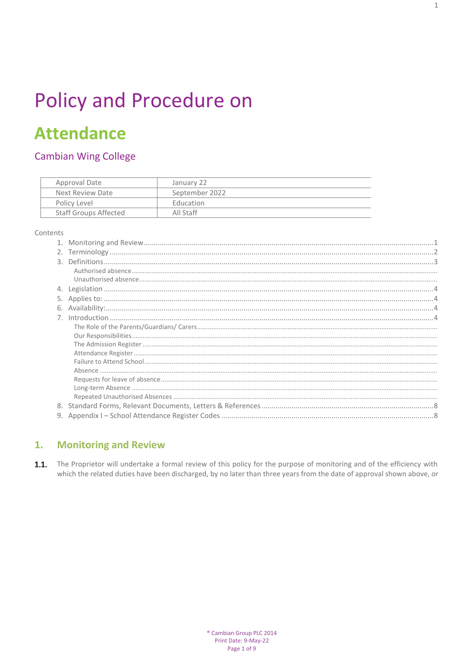# Policy and Procedure on

## **Attendance**

## **Cambian Wing College**

| Approval Date                | January 22       |
|------------------------------|------------------|
| Next Review Date             | September 2022   |
| Policy Level                 | <b>Education</b> |
| <b>Staff Groups Affected</b> | All Staff        |
|                              |                  |

#### Contents

| 6. |  |
|----|--|
|    |  |
|    |  |
|    |  |
|    |  |
|    |  |
|    |  |
|    |  |
|    |  |
|    |  |
|    |  |
|    |  |
|    |  |

#### <span id="page-0-0"></span>**Monitoring and Review**  $1.$

1.1. The Proprietor will undertake a formal review of this policy for the purpose of monitoring and of the efficiency with which the related duties have been discharged, by no later than three years from the date of approval shown above, or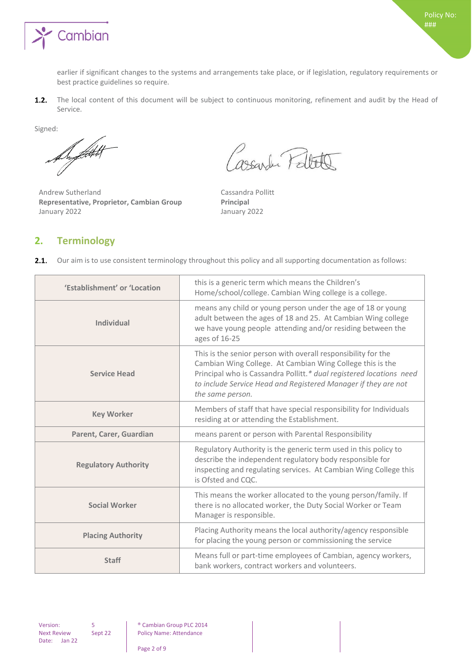

earlier if significant changes to the systems and arrangements take place, or if legislation, regulatory requirements or best practice guidelines so require.

The local content of this document will be subject to continuous monitoring, refinement and audit by the Head of  $1.2.$ Service.

Signed:

Superficient

Andrew Sutherland Cassandra Pollitt **Representative, Proprietor, Cambian Group Principal** January 2022 January 2022

Cassarder Pellete

## <span id="page-1-0"></span>**2. Terminology**

|  | 2.1. Our aim is to use consistent terminology throughout this policy and all supporting documentation as follows: |  |  |
|--|-------------------------------------------------------------------------------------------------------------------|--|--|
|  |                                                                                                                   |  |  |

| 'Establishment' or 'Location | this is a generic term which means the Children's<br>Home/school/college. Cambian Wing college is a college.                                                                                                                                                                            |
|------------------------------|-----------------------------------------------------------------------------------------------------------------------------------------------------------------------------------------------------------------------------------------------------------------------------------------|
| <b>Individual</b>            | means any child or young person under the age of 18 or young<br>adult between the ages of 18 and 25. At Cambian Wing college<br>we have young people attending and/or residing between the<br>ages of 16-25                                                                             |
| <b>Service Head</b>          | This is the senior person with overall responsibility for the<br>Cambian Wing College. At Cambian Wing College this is the<br>Principal who is Cassandra Pollitt.* dual registered locations need<br>to include Service Head and Registered Manager if they are not<br>the same person. |
| <b>Key Worker</b>            | Members of staff that have special responsibility for Individuals<br>residing at or attending the Establishment.                                                                                                                                                                        |
| Parent, Carer, Guardian      | means parent or person with Parental Responsibility                                                                                                                                                                                                                                     |
| <b>Regulatory Authority</b>  | Regulatory Authority is the generic term used in this policy to<br>describe the independent regulatory body responsible for<br>inspecting and regulating services. At Cambian Wing College this<br>is Ofsted and CQC.                                                                   |
| <b>Social Worker</b>         | This means the worker allocated to the young person/family. If<br>there is no allocated worker, the Duty Social Worker or Team<br>Manager is responsible.                                                                                                                               |
| <b>Placing Authority</b>     | Placing Authority means the local authority/agency responsible<br>for placing the young person or commissioning the service                                                                                                                                                             |
| <b>Staff</b>                 | Means full or part-time employees of Cambian, agency workers,<br>bank workers, contract workers and volunteers.                                                                                                                                                                         |

Next Review Date: Jan 22

Version: 5 <sup>®</sup> Cambian Group PLC 2014<br>Next Review Sept 22 Policy Name: Attendance Policy Name: Attendance

Page 2 of 9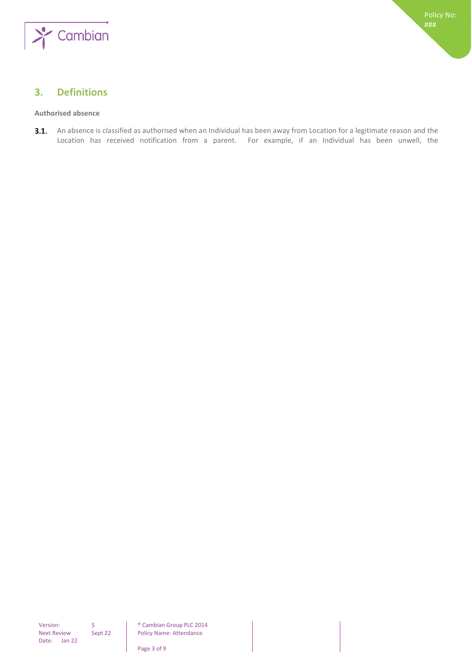

## <span id="page-2-0"></span>**3. Definitions**

#### <span id="page-2-1"></span>**Authorised absence**

3.1. An absence is classified as authorised when an Individual has been away from Location for a legitimate reason and the Location has received notification from a parent. For example, if an Individual has been unwell, the

Policy Name: Attendance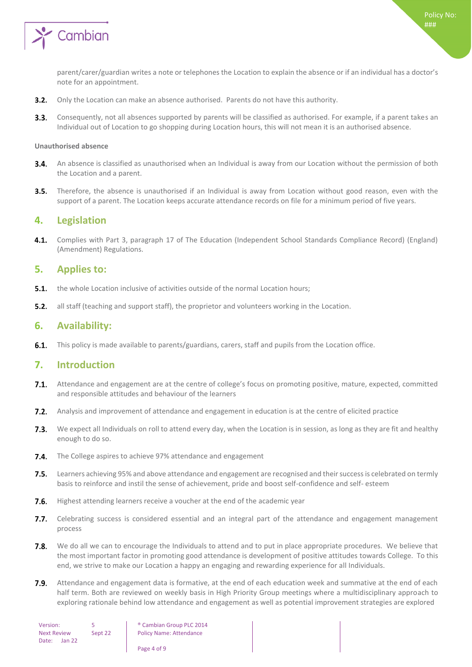

parent/carer/guardian writes a note or telephones the Location to explain the absence or if an individual has a doctor's note for an appointment.

- $3.2.$ Only the Location can make an absence authorised. Parents do not have this authority.
- $3.3.$ Consequently, not all absences supported by parents will be classified as authorised. For example, if a parent takes an Individual out of Location to go shopping during Location hours, this will not mean it is an authorised absence.

#### <span id="page-3-0"></span>**Unauthorised absence**

- **3.4.** An absence is classified as unauthorised when an Individual is away from our Location without the permission of both the Location and a parent.
- $3.5.$ Therefore, the absence is unauthorised if an Individual is away from Location without good reason, even with the support of a parent. The Location keeps accurate attendance records on file for a minimum period of five years.

### <span id="page-3-1"></span>**4. Legislation**

 $4.1.$ Complies with Part 3, paragraph 17 of The Education (Independent School Standards Compliance Record) (England) (Amendment) Regulations.

## <span id="page-3-2"></span>**5. Applies to:**

- the whole Location inclusive of activities outside of the normal Location hours;  $5.1.$
- $5.2.$ all staff (teaching and support staff), the proprietor and volunteers working in the Location.

## <span id="page-3-3"></span>**6. Availability:**

<span id="page-3-4"></span> $6.1.$ This policy is made available to parents/guardians, carers, staff and pupils from the Location office.

## **7. Introduction**

- $7.1.$ Attendance and engagement are at the centre of college's focus on promoting positive, mature, expected, committed and responsible attitudes and behaviour of the learners
- $7.2.$ Analysis and improvement of attendance and engagement in education is at the centre of elicited practice
- $7.3.$ We expect all Individuals on roll to attend every day, when the Location is in session, as long as they are fit and healthy enough to do so.
- $7.4.$ The College aspires to achieve 97% attendance and engagement
- $7.5.$ Learners achieving 95% and above attendance and engagement are recognised and their success is celebrated on termly basis to reinforce and instil the sense of achievement, pride and boost self-confidence and self- esteem
- 7.6. Highest attending learners receive a voucher at the end of the academic year
- 7.7. Celebrating success is considered essential and an integral part of the attendance and engagement management process
- 7.8. We do all we can to encourage the Individuals to attend and to put in place appropriate procedures. We believe that the most important factor in promoting good attendance is development of positive attitudes towards College. To this end, we strive to make our Location a happy an engaging and rewarding experience for all Individuals.
- $7.9.$ Attendance and engagement data is formative, at the end of each education week and summative at the end of each half term. Both are reviewed on weekly basis in High Priority Group meetings where a multidisciplinary approach to exploring rationale behind low attendance and engagement as well as potential improvement strategies are explored

Version: 5 **b** © Cambian Group PLC 2014 Sept 22 | Policy Name: Attendance

Page 4 of 9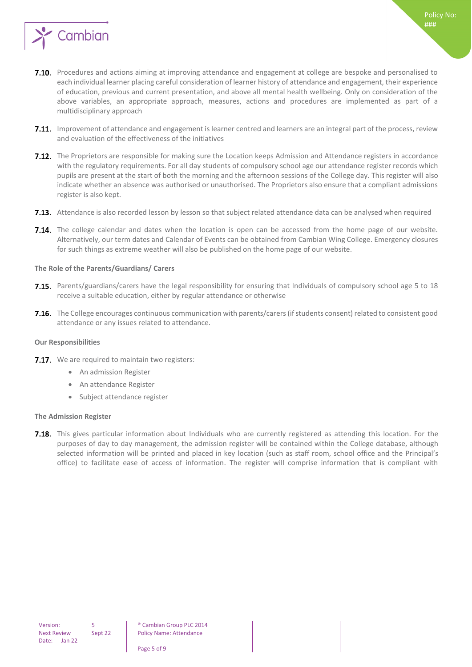

- 7.10. Procedures and actions aiming at improving attendance and engagement at college are bespoke and personalised to each individual learner placing careful consideration of learner history of attendance and engagement, their experience of education, previous and current presentation, and above all mental health wellbeing. Only on consideration of the above variables, an appropriate approach, measures, actions and procedures are implemented as part of a multidisciplinary approach
- **7.11.** Improvement of attendance and engagement is learner centred and learners are an integral part of the process, review and evaluation of the effectiveness of the initiatives
- **7.12.** The Proprietors are responsible for making sure the Location keeps Admission and Attendance registers in accordance with the regulatory requirements. For all day students of compulsory school age our attendance register records which pupils are present at the start of both the morning and the afternoon sessions of the College day. This register will also indicate whether an absence was authorised or unauthorised. The Proprietors also ensure that a compliant admissions register is also kept.
- <span id="page-4-0"></span>**7.13.** Attendance is also recorded lesson by lesson so that subject related attendance data can be analysed when required
- 7.14. The college calendar and dates when the location is open can be accessed from the home page of our website. Alternatively, our term dates and Calendar of Events can be obtained from Cambian Wing College. Emergency closures for such things as extreme weather will also be published on the home page of our website.

#### **The Role of the Parents/Guardians/ Carers**

- 7.15. Parents/guardians/carers have the legal responsibility for ensuring that Individuals of compulsory school age 5 to 18 receive a suitable education, either by regular attendance or otherwise
- 7.16. The College encourages continuous communication with parents/carers (if students consent) related to consistent good attendance or any issues related to attendance.

#### <span id="page-4-1"></span>**Our Responsibilities**

- 7.17. We are required to maintain two registers:
	- An admission Register
	- An attendance Register
	- Subject attendance register

#### <span id="page-4-2"></span>**The Admission Register**

7.18. This gives particular information about Individuals who are currently registered as attending this location. For the purposes of day to day management, the admission register will be contained within the College database, although selected information will be printed and placed in key location (such as staff room, school office and the Principal's office) to facilitate ease of access of information. The register will comprise information that is compliant with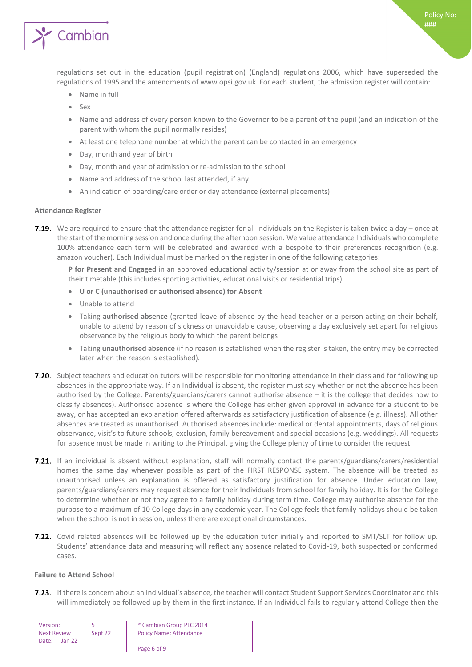

regulations set out in the education (pupil registration) (England) regulations 2006, which have superseded the regulations of 1995 and the amendments of www.opsi.gov.uk. For each student, the admission register will contain:

- Name in full
- Sex
- Name and address of every person known to the Governor to be a parent of the pupil (and an indication of the parent with whom the pupil normally resides)
- At least one telephone number at which the parent can be contacted in an emergency
- Day, month and year of birth
- Day, month and year of admission or re-admission to the school
- Name and address of the school last attended, if any
- An indication of boarding/care order or day attendance (external placements)

#### <span id="page-5-0"></span>**Attendance Register**

7.19. We are required to ensure that the attendance register for all Individuals on the Register is taken twice a day – once at the start of the morning session and once during the afternoon session. We value attendance Individuals who complete 100% attendance each term will be celebrated and awarded with a bespoke to their preferences recognition (e.g. amazon voucher). Each Individual must be marked on the register in one of the following categories:

**P for Present and Engaged** in an approved educational activity/session at or away from the school site as part of their timetable (this includes sporting activities, educational visits or residential trips)

- **U or C (unauthorised or authorised absence) for Absent**
- Unable to attend
- Taking **authorised absence** (granted leave of absence by the head teacher or a person acting on their behalf, unable to attend by reason of sickness or unavoidable cause, observing a day exclusively set apart for religious observance by the religious body to which the parent belongs
- Taking **unauthorised absence** (if no reason is established when the register is taken, the entry may be corrected later when the reason is established).
- **7.20.** Subject teachers and education tutors will be responsible for monitoring attendance in their class and for following up absences in the appropriate way. If an Individual is absent, the register must say whether or not the absence has been authorised by the College. Parents/guardians/carers cannot authorise absence – it is the college that decides how to classify absences). Authorised absence is where the College has either given approval in advance for a student to be away, or has accepted an explanation offered afterwards as satisfactory justification of absence (e.g. illness). All other absences are treated as unauthorised. Authorised absences include: medical or dental appointments, days of religious observance, visit's to future schools, exclusion, family bereavement and special occasions (e.g. weddings). All requests for absence must be made in writing to the Principal, giving the College plenty of time to consider the request.
- 7.21. If an individual is absent without explanation, staff will normally contact the parents/guardians/carers/residential homes the same day whenever possible as part of the FIRST RESPONSE system. The absence will be treated as unauthorised unless an explanation is offered as satisfactory justification for absence. Under education law, parents/guardians/carers may request absence for their Individuals from school for family holiday. It is for the College to determine whether or not they agree to a family holiday during term time. College may authorise absence for the purpose to a maximum of 10 College days in any academic year. The College feels that family holidays should be taken when the school is not in session, unless there are exceptional circumstances.
- 7.22. Covid related absences will be followed up by the education tutor initially and reported to SMT/SLT for follow up. Students' attendance data and measuring will reflect any absence related to Covid-19, both suspected or conformed cases.

#### <span id="page-5-1"></span>**Failure to Attend School**

7.23. If there is concern about an Individual's absence, the teacher will contact Student Support Services Coordinator and this will immediately be followed up by them in the first instance. If an Individual fails to regularly attend College then the

Next Review Date: Jan 22

Version: 5 **b** © Cambian Group PLC 2014 Sept 22 | Policy Name: Attendance

Page 6 of 9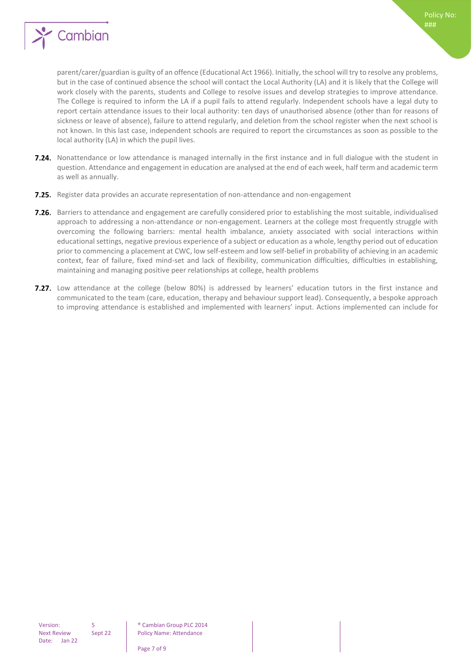

parent/carer/guardian is guilty of an offence (Educational Act 1966). Initially, the school will try to resolve any problems, but in the case of continued absence the school will contact the Local Authority (LA) and it is likely that the College will work closely with the parents, students and College to resolve issues and develop strategies to improve attendance. The College is required to inform the LA if a pupil fails to attend regularly. Independent schools have a legal duty to report certain attendance issues to their local authority: ten days of unauthorised absence (other than for reasons of sickness or leave of absence), failure to attend regularly, and deletion from the school register when the next school is not known. In this last case, independent schools are required to report the circumstances as soon as possible to the local authority (LA) in which the pupil lives.

- 7.24. Nonattendance or low attendance is managed internally in the first instance and in full dialogue with the student in question. Attendance and engagement in education are analysed at the end of each week, half term and academic term as well as annually.
- 7.25. Register data provides an accurate representation of non-attendance and non-engagement
- 7.26. Barriers to attendance and engagement are carefully considered prior to establishing the most suitable, individualised approach to addressing a non-attendance or non-engagement. Learners at the college most frequently struggle with overcoming the following barriers: mental health imbalance, anxiety associated with social interactions within educational settings, negative previous experience of a subject or education as a whole, lengthy period out of education prior to commencing a placement at CWC, low self-esteem and low self-belief in probability of achieving in an academic context, fear of failure, fixed mind-set and lack of flexibility, communication difficulties, difficulties in establishing, maintaining and managing positive peer relationships at college, health problems
- 7.27. Low attendance at the college (below 80%) is addressed by learners' education tutors in the first instance and communicated to the team (care, education, therapy and behaviour support lead). Consequently, a bespoke approach to improving attendance is established and implemented with learners' input. Actions implemented can include for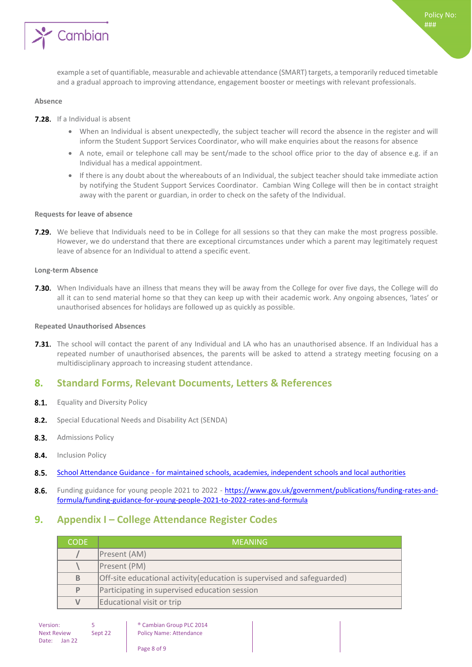

#### <span id="page-7-0"></span>**Absence**

- **7.28.** If a Individual is absent
	- When an Individual is absent unexpectedly, the subject teacher will record the absence in the register and will inform the Student Support Services Coordinator, who will make enquiries about the reasons for absence
	- A note, email or telephone call may be sent/made to the school office prior to the day of absence e.g. if an Individual has a medical appointment.
	- If there is any doubt about the whereabouts of an Individual, the subject teacher should take immediate action by notifying the Student Support Services Coordinator. Cambian Wing College will then be in contact straight away with the parent or guardian, in order to check on the safety of the Individual.

#### <span id="page-7-1"></span>**Requests for leave of absence**

7.29. We believe that Individuals need to be in College for all sessions so that they can make the most progress possible. However, we do understand that there are exceptional circumstances under which a parent may legitimately request leave of absence for an Individual to attend a specific event.

#### <span id="page-7-2"></span>**Long-term Absence**

**7.30.** When Individuals have an illness that means they will be away from the College for over five days, the College will do all it can to send material home so that they can keep up with their academic work. Any ongoing absences, 'lates' or unauthorised absences for holidays are followed up as quickly as possible.

#### <span id="page-7-3"></span>**Repeated Unauthorised Absences**

**7.31.** The school will contact the parent of any Individual and LA who has an unauthorised absence. If an Individual has a repeated number of unauthorised absences, the parents will be asked to attend a strategy meeting focusing on a multidisciplinary approach to increasing student attendance.

## <span id="page-7-4"></span>**8. Standard Forms, Relevant Documents, Letters & References**

- $8.1.$ Equality and Diversity Policy
- $8.2.$ Special Educational Needs and Disability Act (SENDA)
- $8.3.$ Admissions Policy
- 8.4. **Inclusion Policy**
- $8.5.$ School Attendance Guidance - [for maintained schools, academies, independent schools and local authorities](https://www.gov.uk/government/uploads/system/uploads/attachment_data/file/564599/school_attendance.pdf)
- 8.6. Funding guidance for young people 2021 to 2022 - [https://www.gov.uk/government/publications/funding-rates-and](https://www.gov.uk/government/publications/funding-rates-and-formula/funding-guidance-for-young-people-2021-to-2022-rates-and-formula)[formula/funding-guidance-for-young-people-2021-to-2022-rates-and-formula](https://www.gov.uk/government/publications/funding-rates-and-formula/funding-guidance-for-young-people-2021-to-2022-rates-and-formula)

## <span id="page-7-5"></span>**9. Appendix I – College Attendance Register Codes**

| <b>CODE</b> | MEANING                                                                 |  |
|-------------|-------------------------------------------------------------------------|--|
|             | Present (AM)                                                            |  |
|             | Present (PM)                                                            |  |
| B           | Off-site educational activity (education is supervised and safeguarded) |  |
| P           | Participating in supervised education session                           |  |
| V           | Educational visit or trip                                               |  |

Version: 5 <sup>®</sup> Cambian Group PLC 2014<br>
Next Review Sept 22 Policy Name: Attendance Policy Name: Attendance

Page 8 of 9